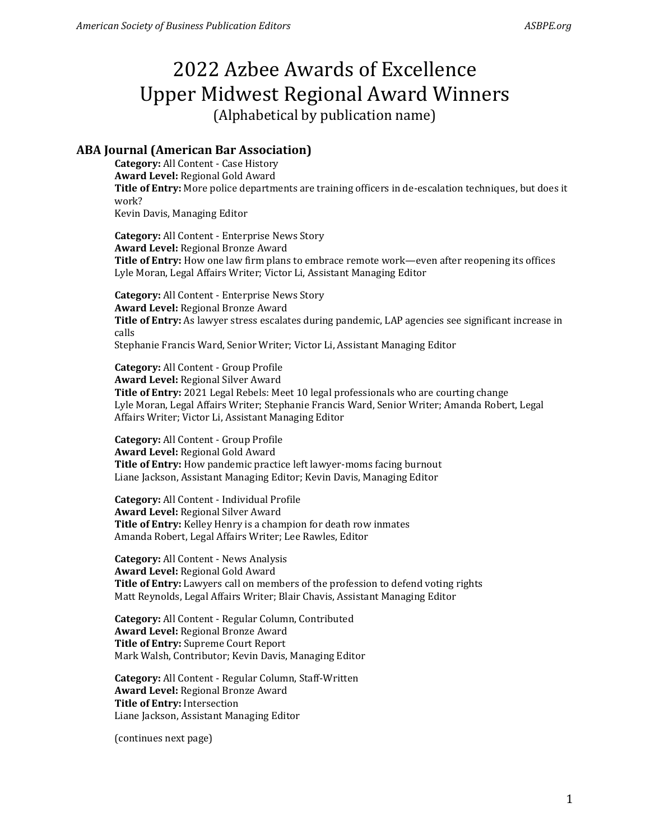### **ABA Journal (American Bar Association)**

**Category:** All Content - Case History **Award Level:** Regional Gold Award **Title of Entry:** More police departments are training officers in de-escalation techniques, but does it work? Kevin Davis, Managing Editor

**Category:** All Content - Enterprise News Story **Award Level:** Regional Bronze Award **Title of Entry:** How one law firm plans to embrace remote work—even after reopening its offices Lyle Moran, Legal Affairs Writer; Victor Li, Assistant Managing Editor

**Category:** All Content - Enterprise News Story **Award Level:** Regional Bronze Award **Title of Entry:** As lawyer stress escalates during pandemic, LAP agencies see significant increase in calls Stephanie Francis Ward, Senior Writer; Victor Li, Assistant Managing Editor

**Category:** All Content - Group Profile **Award Level:** Regional Silver Award **Title of Entry:** 2021 Legal Rebels: Meet 10 legal professionals who are courting change Lyle Moran, Legal Affairs Writer; Stephanie Francis Ward, Senior Writer; Amanda Robert, Legal Affairs Writer; Victor Li, Assistant Managing Editor

**Category:** All Content - Group Profile **Award Level:** Regional Gold Award **Title of Entry:** How pandemic practice left lawyer-moms facing burnout Liane Jackson, Assistant Managing Editor; Kevin Davis, Managing Editor

**Category:** All Content - Individual Profile **Award Level:** Regional Silver Award **Title of Entry:** Kelley Henry is a champion for death row inmates Amanda Robert, Legal Affairs Writer; Lee Rawles, Editor

**Category:** All Content - News Analysis **Award Level:** Regional Gold Award **Title of Entry:** Lawyers call on members of the profession to defend voting rights Matt Reynolds, Legal Affairs Writer; Blair Chavis, Assistant Managing Editor

**Category:** All Content - Regular Column, Contributed **Award Level:** Regional Bronze Award **Title of Entry:** Supreme Court Report Mark Walsh, Contributor; Kevin Davis, Managing Editor

**Category:** All Content - Regular Column, Staff-Written **Award Level:** Regional Bronze Award **Title of Entry:** Intersection Liane Jackson, Assistant Managing Editor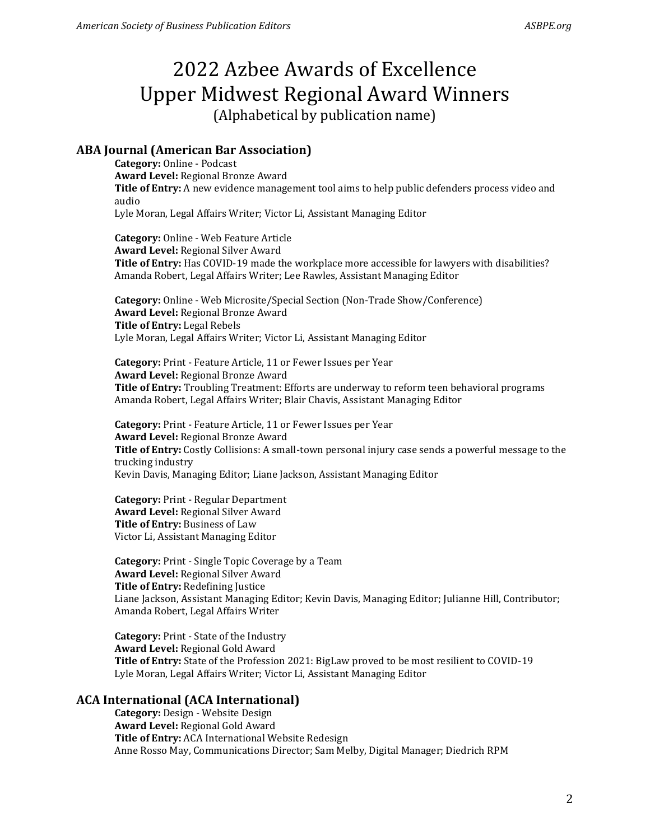### **ABA Journal (American Bar Association)**

**Category:** Online - Podcast **Award Level:** Regional Bronze Award **Title of Entry:** A new evidence management tool aims to help public defenders process video and audio Lyle Moran, Legal Affairs Writer; Victor Li, Assistant Managing Editor

**Category:** Online - Web Feature Article **Award Level:** Regional Silver Award **Title of Entry:** Has COVID-19 made the workplace more accessible for lawyers with disabilities? Amanda Robert, Legal Affairs Writer; Lee Rawles, Assistant Managing Editor

**Category:** Online - Web Microsite/Special Section (Non-Trade Show/Conference) **Award Level:** Regional Bronze Award **Title of Entry:** Legal Rebels Lyle Moran, Legal Affairs Writer; Victor Li, Assistant Managing Editor

**Category:** Print - Feature Article, 11 or Fewer Issues per Year **Award Level:** Regional Bronze Award **Title of Entry:** Troubling Treatment: Efforts are underway to reform teen behavioral programs Amanda Robert, Legal Affairs Writer; Blair Chavis, Assistant Managing Editor

**Category:** Print - Feature Article, 11 or Fewer Issues per Year **Award Level:** Regional Bronze Award **Title of Entry:** Costly Collisions: A small-town personal injury case sends a powerful message to the trucking industry Kevin Davis, Managing Editor; Liane Jackson, Assistant Managing Editor

**Category:** Print - Regular Department **Award Level:** Regional Silver Award **Title of Entry:** Business of Law Victor Li, Assistant Managing Editor

**Category:** Print - Single Topic Coverage by a Team **Award Level:** Regional Silver Award **Title of Entry:** Redefining Justice Liane Jackson, Assistant Managing Editor; Kevin Davis, Managing Editor; Julianne Hill, Contributor; Amanda Robert, Legal Affairs Writer

**Category:** Print - State of the Industry **Award Level:** Regional Gold Award **Title of Entry:** State of the Profession 2021: BigLaw proved to be most resilient to COVID-19 Lyle Moran, Legal Affairs Writer; Victor Li, Assistant Managing Editor

### **ACA International (ACA International)**

**Category:** Design - Website Design **Award Level:** Regional Gold Award **Title of Entry:** ACA International Website Redesign Anne Rosso May, Communications Director; Sam Melby, Digital Manager; Diedrich RPM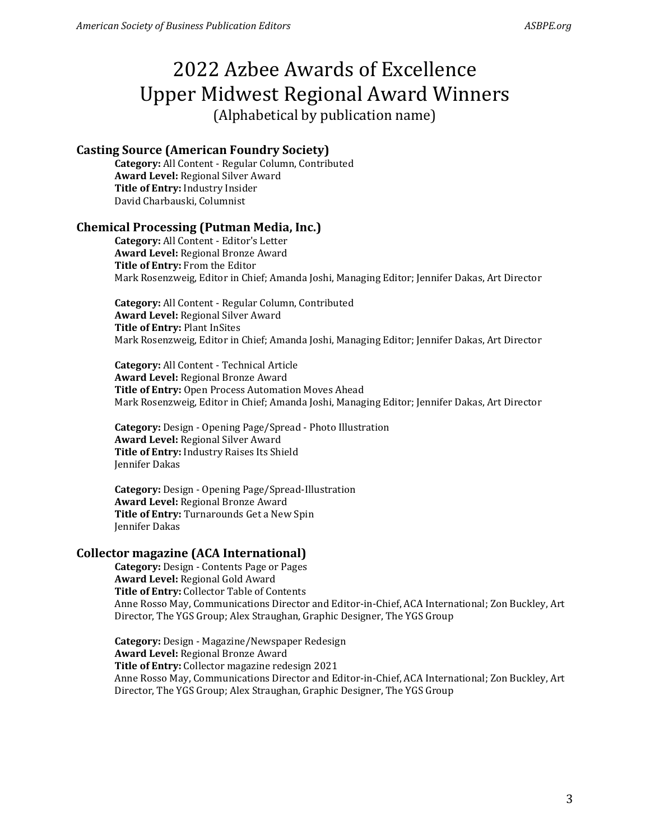# 2022 Azbee Awards of Excellence Upper Midwest Regional Award Winners

(Alphabetical by publication name)

### **Casting Source (American Foundry Society)**

**Category:** All Content - Regular Column, Contributed **Award Level:** Regional Silver Award **Title of Entry:** Industry Insider David Charbauski, Columnist

### **Chemical Processing (Putman Media, Inc.)**

**Category:** All Content - Editor's Letter **Award Level:** Regional Bronze Award **Title of Entry:** From the Editor Mark Rosenzweig, Editor in Chief; Amanda Joshi, Managing Editor; Jennifer Dakas, Art Director

**Category:** All Content - Regular Column, Contributed **Award Level:** Regional Silver Award **Title of Entry:** Plant InSites Mark Rosenzweig, Editor in Chief; Amanda Joshi, Managing Editor; Jennifer Dakas, Art Director

**Category:** All Content - Technical Article **Award Level:** Regional Bronze Award **Title of Entry:** Open Process Automation Moves Ahead Mark Rosenzweig, Editor in Chief; Amanda Joshi, Managing Editor; Jennifer Dakas, Art Director

**Category:** Design - Opening Page/Spread - Photo Illustration **Award Level:** Regional Silver Award **Title of Entry:** Industry Raises Its Shield Jennifer Dakas

**Category:** Design - Opening Page/Spread-Illustration **Award Level:** Regional Bronze Award **Title of Entry:** Turnarounds Get a New Spin Jennifer Dakas

### **Collector magazine (ACA International)**

**Category:** Design - Contents Page or Pages **Award Level:** Regional Gold Award **Title of Entry:** Collector Table of Contents Anne Rosso May, Communications Director and Editor-in-Chief, ACA International; Zon Buckley, Art Director, The YGS Group; Alex Straughan, Graphic Designer, The YGS Group

**Category:** Design - Magazine/Newspaper Redesign **Award Level:** Regional Bronze Award **Title of Entry:** Collector magazine redesign 2021 Anne Rosso May, Communications Director and Editor-in-Chief, ACA International; Zon Buckley, Art Director, The YGS Group; Alex Straughan, Graphic Designer, The YGS Group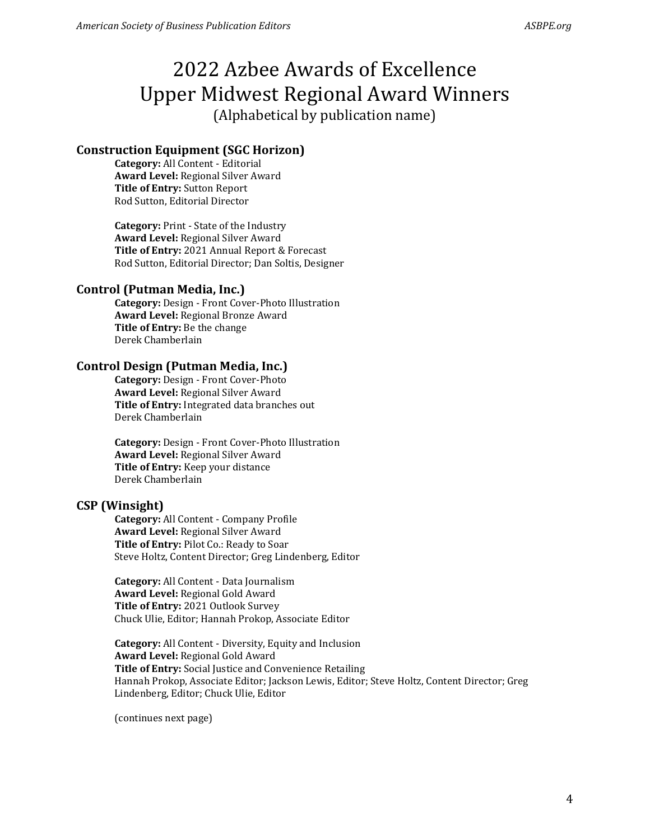### **Construction Equipment (SGC Horizon)**

**Category:** All Content - Editorial **Award Level:** Regional Silver Award **Title of Entry:** Sutton Report Rod Sutton, Editorial Director

**Category:** Print - State of the Industry **Award Level:** Regional Silver Award **Title of Entry:** 2021 Annual Report & Forecast Rod Sutton, Editorial Director; Dan Soltis, Designer

### **Control (Putman Media, Inc.)**

**Category:** Design - Front Cover-Photo Illustration **Award Level:** Regional Bronze Award **Title of Entry:** Be the change Derek Chamberlain

### **Control Design (Putman Media, Inc.)**

**Category:** Design - Front Cover-Photo **Award Level:** Regional Silver Award **Title of Entry:** Integrated data branches out Derek Chamberlain

**Category:** Design - Front Cover-Photo Illustration **Award Level:** Regional Silver Award **Title of Entry:** Keep your distance Derek Chamberlain

### **CSP (Winsight)**

**Category:** All Content - Company Profile **Award Level:** Regional Silver Award **Title of Entry:** Pilot Co.: Ready to Soar Steve Holtz, Content Director; Greg Lindenberg, Editor

**Category:** All Content - Data Journalism **Award Level:** Regional Gold Award **Title of Entry:** 2021 Outlook Survey Chuck Ulie, Editor; Hannah Prokop, Associate Editor

**Category:** All Content - Diversity, Equity and Inclusion **Award Level:** Regional Gold Award **Title of Entry:** Social Justice and Convenience Retailing Hannah Prokop, Associate Editor; Jackson Lewis, Editor; Steve Holtz, Content Director; Greg Lindenberg, Editor; Chuck Ulie, Editor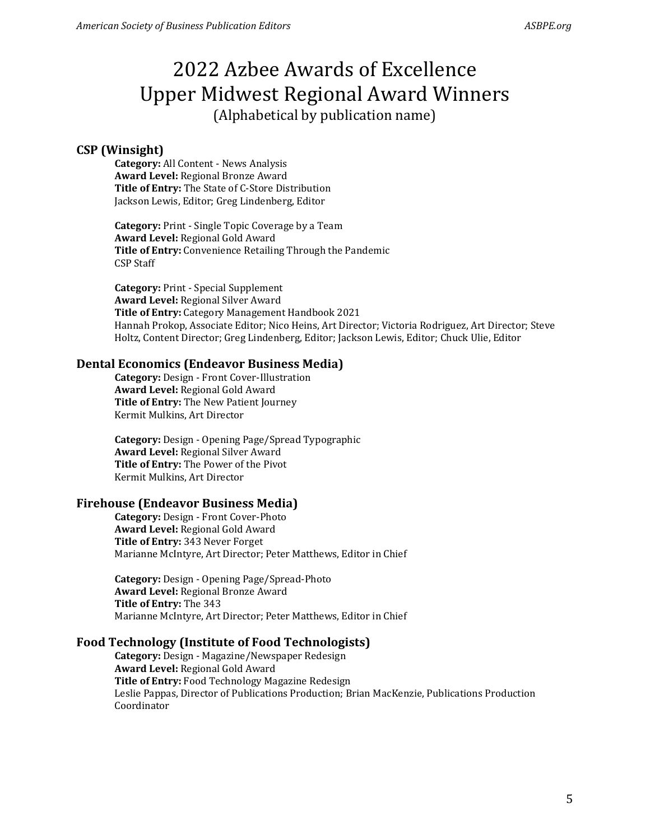### **CSP (Winsight)**

**Category:** All Content - News Analysis **Award Level:** Regional Bronze Award **Title of Entry:** The State of C-Store Distribution Jackson Lewis, Editor; Greg Lindenberg, Editor

**Category:** Print - Single Topic Coverage by a Team **Award Level:** Regional Gold Award **Title of Entry:** Convenience Retailing Through the Pandemic CSP Staff

**Category:** Print - Special Supplement **Award Level:** Regional Silver Award **Title of Entry:** Category Management Handbook 2021 Hannah Prokop, Associate Editor; Nico Heins, Art Director; Victoria Rodriguez, Art Director; Steve Holtz, Content Director; Greg Lindenberg, Editor; Jackson Lewis, Editor; Chuck Ulie, Editor

#### **Dental Economics (Endeavor Business Media)**

**Category:** Design - Front Cover-Illustration **Award Level:** Regional Gold Award **Title of Entry:** The New Patient Journey Kermit Mulkins, Art Director

**Category:** Design - Opening Page/Spread Typographic **Award Level:** Regional Silver Award **Title of Entry:** The Power of the Pivot Kermit Mulkins, Art Director

### **Firehouse (Endeavor Business Media)**

**Category:** Design - Front Cover-Photo **Award Level:** Regional Gold Award **Title of Entry:** 343 Never Forget Marianne McIntyre, Art Director; Peter Matthews, Editor in Chief

**Category:** Design - Opening Page/Spread-Photo **Award Level:** Regional Bronze Award **Title of Entry:** The 343 Marianne McIntyre, Art Director; Peter Matthews, Editor in Chief

### **Food Technology (Institute of Food Technologists)**

**Category:** Design - Magazine/Newspaper Redesign **Award Level:** Regional Gold Award **Title of Entry:** Food Technology Magazine Redesign Leslie Pappas, Director of Publications Production; Brian MacKenzie, Publications Production Coordinator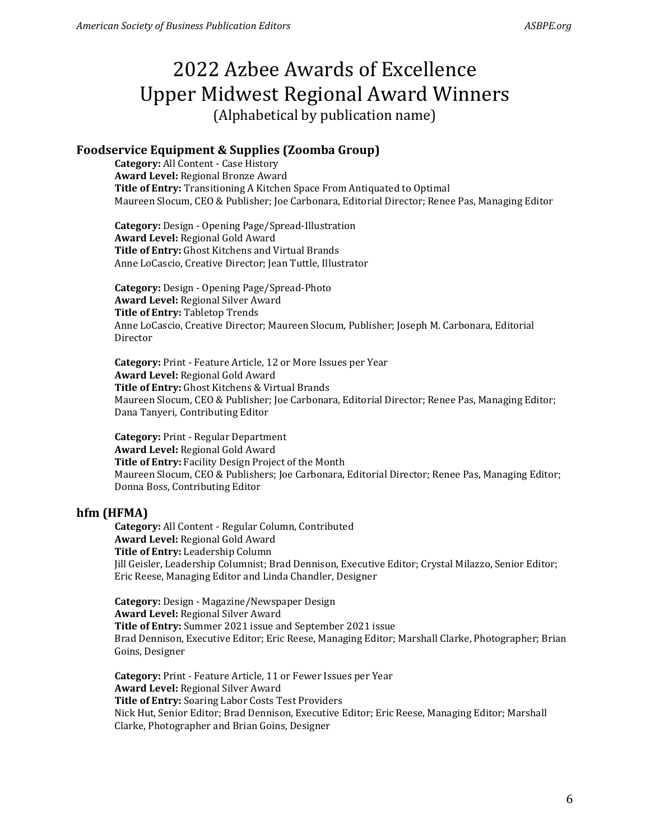### **Foodservice Equipment & Supplies (Zoomba Group)**

**Category:** All Content - Case History **Award Level:** Regional Bronze Award **Title of Entry:** Transitioning A Kitchen Space From Antiquated to Optimal Maureen Slocum, CEO & Publisher; Joe Carbonara, Editorial Director; Renee Pas, Managing Editor

**Category:** Design - Opening Page/Spread-Illustration **Award Level:** Regional Gold Award **Title of Entry:** Ghost Kitchens and Virtual Brands Anne LoCascio, Creative Director; Jean Tuttle, Illustrator

**Category:** Design - Opening Page/Spread-Photo **Award Level:** Regional Silver Award **Title of Entry:** Tabletop Trends Anne LoCascio, Creative Director; Maureen Slocum, Publisher; Joseph M. Carbonara, Editorial Director

**Category:** Print - Feature Article, 12 or More Issues per Year **Award Level:** Regional Gold Award **Title of Entry:** Ghost Kitchens & Virtual Brands Maureen Slocum, CEO & Publisher; Joe Carbonara, Editorial Director; Renee Pas, Managing Editor; Dana Tanyeri, Contributing Editor

**Category:** Print - Regular Department **Award Level:** Regional Gold Award **Title of Entry:** Facility Design Project of the Month Maureen Slocum, CEO & Publishers; Joe Carbonara, Editorial Director; Renee Pas, Managing Editor; Donna Boss, Contributing Editor

### **hfm (HFMA)**

**Category:** All Content - Regular Column, Contributed **Award Level:** Regional Gold Award **Title of Entry:** Leadership Column Jill Geisler, Leadership Columnist; Brad Dennison, Executive Editor; Crystal Milazzo, Senior Editor; Eric Reese, Managing Editor and Linda Chandler, Designer

**Category:** Design - Magazine/Newspaper Design **Award Level:** Regional Silver Award **Title of Entry:** Summer 2021 issue and September 2021 issue Brad Dennison, Executive Editor; Eric Reese, Managing Editor; Marshall Clarke, Photographer; Brian Goins, Designer

**Category:** Print - Feature Article, 11 or Fewer Issues per Year **Award Level:** Regional Silver Award **Title of Entry:** Soaring Labor Costs Test Providers Nick Hut, Senior Editor; Brad Dennison, Executive Editor; Eric Reese, Managing Editor; Marshall Clarke, Photographer and Brian Goins, Designer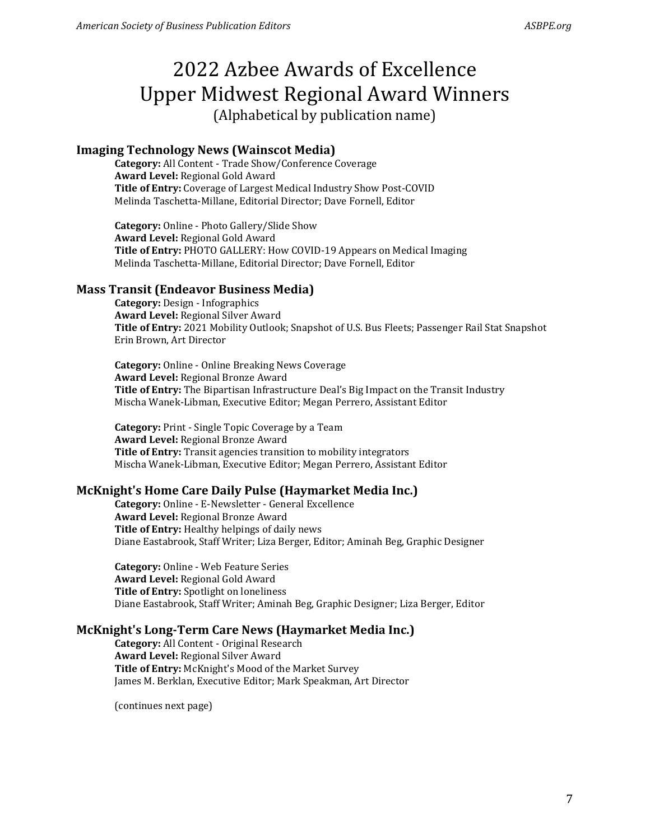### **Imaging Technology News (Wainscot Media)**

**Category:** All Content - Trade Show/Conference Coverage **Award Level:** Regional Gold Award **Title of Entry:** Coverage of Largest Medical Industry Show Post-COVID Melinda Taschetta-Millane, Editorial Director; Dave Fornell, Editor

**Category:** Online - Photo Gallery/Slide Show **Award Level:** Regional Gold Award **Title of Entry:** PHOTO GALLERY: How COVID-19 Appears on Medical Imaging Melinda Taschetta-Millane, Editorial Director; Dave Fornell, Editor

### **Mass Transit (Endeavor Business Media)**

**Category:** Design - Infographics **Award Level:** Regional Silver Award **Title of Entry:** 2021 Mobility Outlook; Snapshot of U.S. Bus Fleets; Passenger Rail Stat Snapshot Erin Brown, Art Director

**Category:** Online - Online Breaking News Coverage **Award Level:** Regional Bronze Award **Title of Entry:** The Bipartisan Infrastructure Deal's Big Impact on the Transit Industry Mischa Wanek-Libman, Executive Editor; Megan Perrero, Assistant Editor

**Category:** Print - Single Topic Coverage by a Team **Award Level:** Regional Bronze Award **Title of Entry:** Transit agencies transition to mobility integrators Mischa Wanek-Libman, Executive Editor; Megan Perrero, Assistant Editor

### **McKnight's Home Care Daily Pulse (Haymarket Media Inc.)**

**Category:** Online - E-Newsletter - General Excellence **Award Level:** Regional Bronze Award **Title of Entry:** Healthy helpings of daily news Diane Eastabrook, Staff Writer; Liza Berger, Editor; Aminah Beg, Graphic Designer

**Category:** Online - Web Feature Series **Award Level:** Regional Gold Award **Title of Entry:** Spotlight on loneliness Diane Eastabrook, Staff Writer; Aminah Beg, Graphic Designer; Liza Berger, Editor

### **McKnight's Long-Term Care News (Haymarket Media Inc.)**

**Category:** All Content - Original Research **Award Level:** Regional Silver Award **Title of Entry:** McKnight's Mood of the Market Survey James M. Berklan, Executive Editor; Mark Speakman, Art Director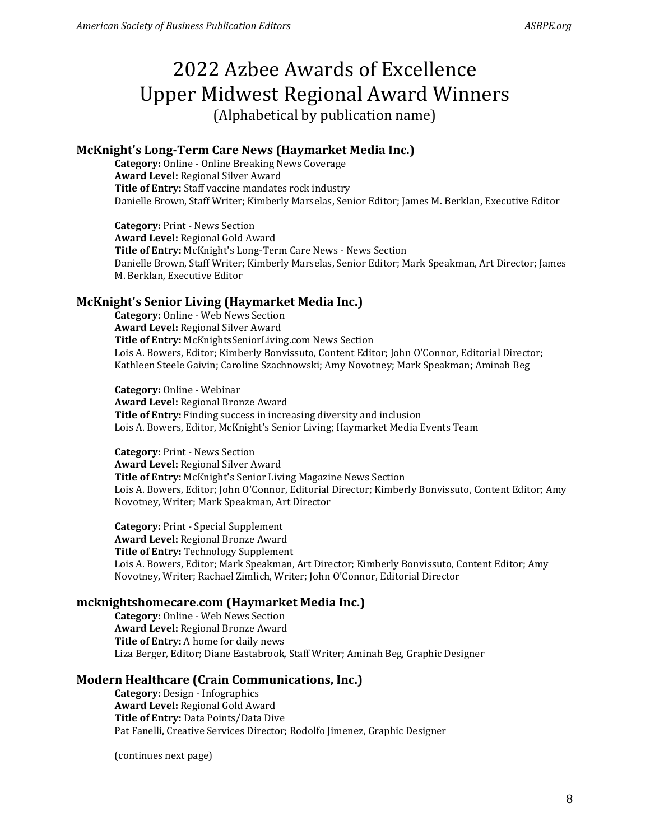### **McKnight's Long-Term Care News (Haymarket Media Inc.)**

**Category:** Online - Online Breaking News Coverage **Award Level:** Regional Silver Award **Title of Entry:** Staff vaccine mandates rock industry Danielle Brown, Staff Writer; Kimberly Marselas, Senior Editor; James M. Berklan, Executive Editor

**Category:** Print - News Section **Award Level:** Regional Gold Award **Title of Entry:** McKnight's Long-Term Care News - News Section Danielle Brown, Staff Writer; Kimberly Marselas, Senior Editor; Mark Speakman, Art Director; James M. Berklan, Executive Editor

### **McKnight's Senior Living (Haymarket Media Inc.)**

**Category:** Online - Web News Section **Award Level:** Regional Silver Award **Title of Entry:** McKnightsSeniorLiving.com News Section Lois A. Bowers, Editor; Kimberly Bonvissuto, Content Editor; John O'Connor, Editorial Director; Kathleen Steele Gaivin; Caroline Szachnowski; Amy Novotney; Mark Speakman; Aminah Beg

**Category:** Online - Webinar **Award Level:** Regional Bronze Award **Title of Entry:** Finding success in increasing diversity and inclusion Lois A. Bowers, Editor, McKnight's Senior Living; Haymarket Media Events Team

**Category:** Print - News Section **Award Level:** Regional Silver Award **Title of Entry:** McKnight's Senior Living Magazine News Section Lois A. Bowers, Editor; John O'Connor, Editorial Director; Kimberly Bonvissuto, Content Editor; Amy Novotney, Writer; Mark Speakman, Art Director

**Category:** Print - Special Supplement **Award Level:** Regional Bronze Award **Title of Entry:** Technology Supplement Lois A. Bowers, Editor; Mark Speakman, Art Director; Kimberly Bonvissuto, Content Editor; Amy Novotney, Writer; Rachael Zimlich, Writer; John O'Connor, Editorial Director

### **mcknightshomecare.com (Haymarket Media Inc.)**

**Category:** Online - Web News Section **Award Level:** Regional Bronze Award **Title of Entry:** A home for daily news Liza Berger, Editor; Diane Eastabrook, Staff Writer; Aminah Beg, Graphic Designer

### **Modern Healthcare (Crain Communications, Inc.)**

**Category:** Design - Infographics **Award Level:** Regional Gold Award **Title of Entry:** Data Points/Data Dive Pat Fanelli, Creative Services Director; Rodolfo Jimenez, Graphic Designer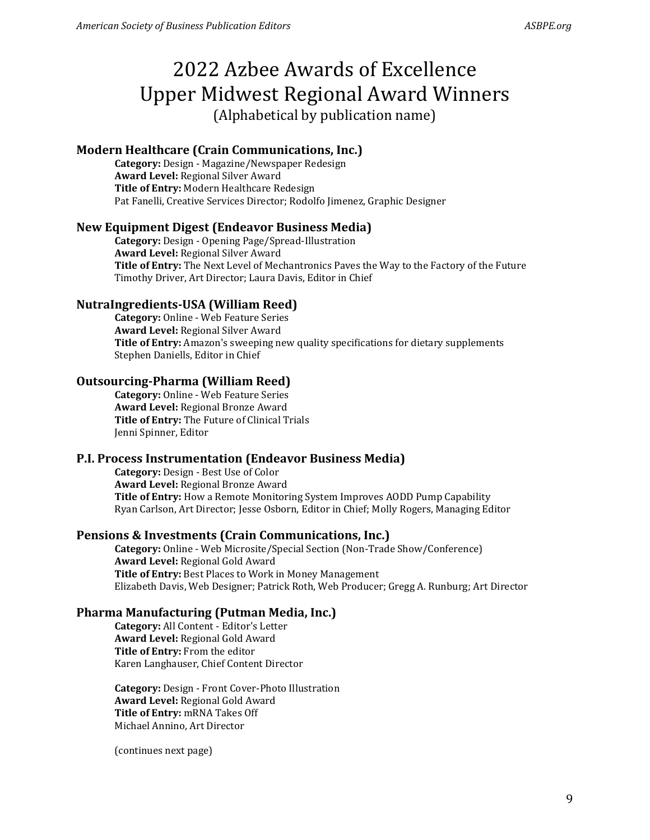### **Modern Healthcare (Crain Communications, Inc.)**

**Category:** Design - Magazine/Newspaper Redesign **Award Level:** Regional Silver Award **Title of Entry:** Modern Healthcare Redesign Pat Fanelli, Creative Services Director; Rodolfo Jimenez, Graphic Designer

### **New Equipment Digest (Endeavor Business Media)**

**Category:** Design - Opening Page/Spread-Illustration **Award Level:** Regional Silver Award **Title of Entry:** The Next Level of Mechantronics Paves the Way to the Factory of the Future Timothy Driver, Art Director; Laura Davis, Editor in Chief

### **NutraIngredients-USA (William Reed)**

**Category:** Online - Web Feature Series **Award Level:** Regional Silver Award **Title of Entry:** Amazon's sweeping new quality specifications for dietary supplements Stephen Daniells, Editor in Chief

### **Outsourcing-Pharma (William Reed)**

**Category:** Online - Web Feature Series **Award Level:** Regional Bronze Award **Title of Entry:** The Future of Clinical Trials Jenni Spinner, Editor

### **P.I. Process Instrumentation (Endeavor Business Media)**

**Category:** Design - Best Use of Color **Award Level:** Regional Bronze Award **Title of Entry:** How a Remote Monitoring System Improves AODD Pump Capability Ryan Carlson, Art Director; Jesse Osborn, Editor in Chief; Molly Rogers, Managing Editor

### **Pensions & Investments (Crain Communications, Inc.)**

**Category:** Online - Web Microsite/Special Section (Non-Trade Show/Conference) **Award Level:** Regional Gold Award **Title of Entry:** Best Places to Work in Money Management Elizabeth Davis, Web Designer; Patrick Roth, Web Producer; Gregg A. Runburg; Art Director

### **Pharma Manufacturing (Putman Media, Inc.)**

**Category:** All Content - Editor's Letter **Award Level:** Regional Gold Award **Title of Entry:** From the editor Karen Langhauser, Chief Content Director

**Category:** Design - Front Cover-Photo Illustration **Award Level:** Regional Gold Award **Title of Entry:** mRNA Takes Off Michael Annino, Art Director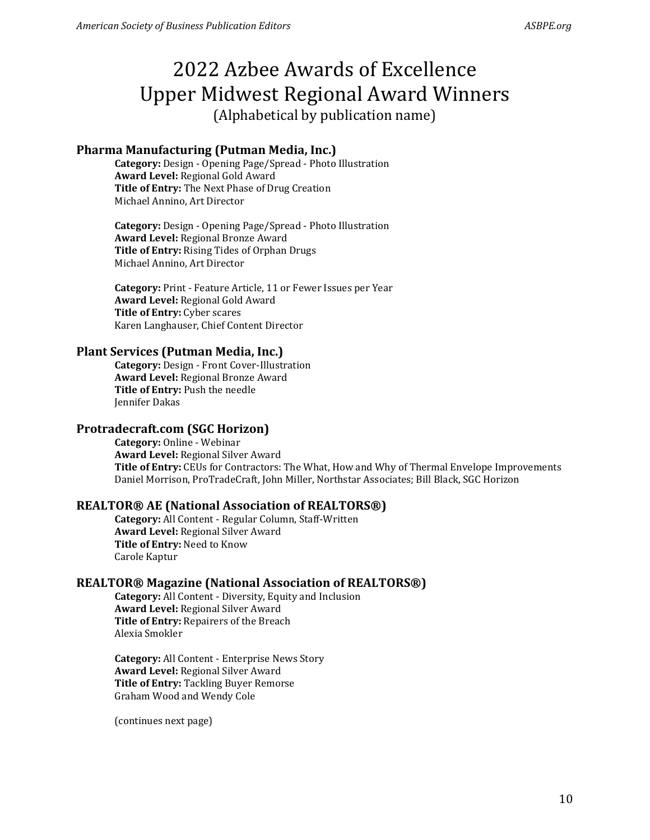### **Pharma Manufacturing (Putman Media, Inc.)**

**Category:** Design - Opening Page/Spread - Photo Illustration **Award Level:** Regional Gold Award **Title of Entry:** The Next Phase of Drug Creation Michael Annino, Art Director

**Category:** Design - Opening Page/Spread - Photo Illustration **Award Level:** Regional Bronze Award **Title of Entry:** Rising Tides of Orphan Drugs Michael Annino, Art Director

**Category:** Print - Feature Article, 11 or Fewer Issues per Year **Award Level:** Regional Gold Award **Title of Entry:** Cyber scares Karen Langhauser, Chief Content Director

#### **Plant Services (Putman Media, Inc.)**

**Category:** Design - Front Cover-Illustration **Award Level:** Regional Bronze Award **Title of Entry:** Push the needle Jennifer Dakas

### **Protradecraft.com (SGC Horizon)**

**Category:** Online - Webinar **Award Level:** Regional Silver Award **Title of Entry:** CEUs for Contractors: The What, How and Why of Thermal Envelope Improvements Daniel Morrison, ProTradeCraft, John Miller, Northstar Associates; Bill Black, SGC Horizon

### **REALTOR® AE (National Association of REALTORS®)**

**Category:** All Content - Regular Column, Staff-Written **Award Level:** Regional Silver Award **Title of Entry:** Need to Know Carole Kaptur

### **REALTOR® Magazine (National Association of REALTORS®)**

**Category:** All Content - Diversity, Equity and Inclusion **Award Level:** Regional Silver Award **Title of Entry:** Repairers of the Breach Alexia Smokler

**Category:** All Content - Enterprise News Story **Award Level:** Regional Silver Award **Title of Entry:** Tackling Buyer Remorse Graham Wood and Wendy Cole